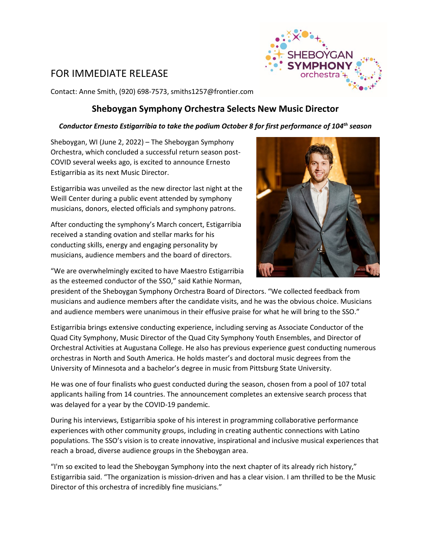## FOR IMMEDIATE RELEASE



Contact: Anne Smith, (920) 698-7573, smiths1257@frontier.com

## **Sheboygan Symphony Orchestra Selects New Music Director**

## *Conductor Ernesto Estigarribia to take the podium October 8 for first performance of 104th season*

Sheboygan, WI (June 2, 2022) – The Sheboygan Symphony Orchestra, which concluded a successful return season post-COVID several weeks ago, is excited to announce Ernesto Estigarribia as its next Music Director.

Estigarribia was unveiled as the new director last night at the Weill Center during a public event attended by symphony musicians, donors, elected officials and symphony patrons.

After conducting the symphony's March concert, Estigarribia received a standing ovation and stellar marks for his conducting skills, energy and engaging personality by musicians, audience members and the board of directors.



"We are overwhelmingly excited to have Maestro Estigarribia as the esteemed conductor of the SSO," said Kathie Norman,

president of the Sheboygan Symphony Orchestra Board of Directors. "We collected feedback from musicians and audience members after the candidate visits, and he was the obvious choice. Musicians and audience members were unanimous in their effusive praise for what he will bring to the SSO."

Estigarribia brings extensive conducting experience, including serving as Associate Conductor of the Quad City Symphony, Music Director of the Quad City Symphony Youth Ensembles, and Director of Orchestral Activities at Augustana College. He also has previous experience guest conducting numerous orchestras in North and South America. He holds master's and doctoral music degrees from the University of Minnesota and a bachelor's degree in music from Pittsburg State University.

He was one of four finalists who guest conducted during the season, chosen from a pool of 107 total applicants hailing from 14 countries. The announcement completes an extensive search process that was delayed for a year by the COVID-19 pandemic.

During his interviews, Estigarribia spoke of his interest in programming collaborative performance experiences with other community groups, including in creating authentic connections with Latino populations. The SSO's vision is to create innovative, inspirational and inclusive musical experiences that reach a broad, diverse audience groups in the Sheboygan area.

"I'm so excited to lead the Sheboygan Symphony into the next chapter of its already rich history," Estigarribia said. "The organization is mission-driven and has a clear vision. I am thrilled to be the Music Director of this orchestra of incredibly fine musicians."